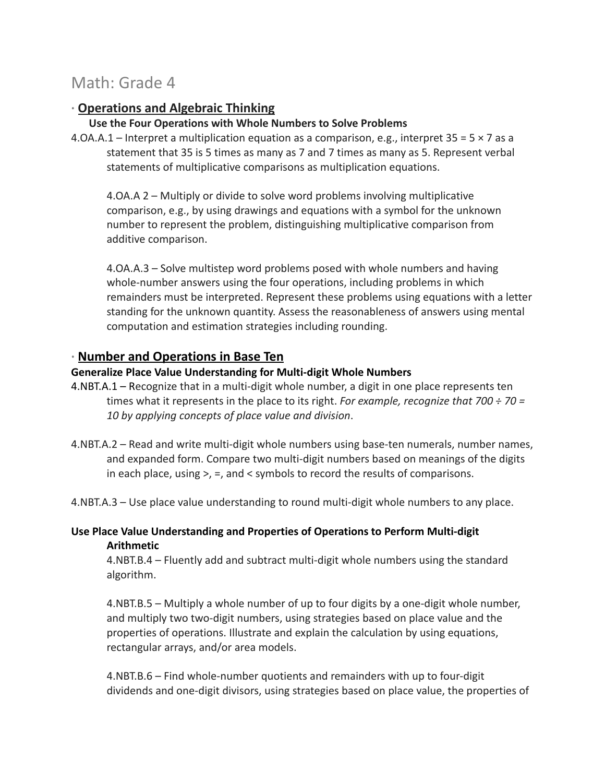# Math: Grade 4

# **∙ Operations and Algebraic Thinking**

### **Use the Four Operations with Whole Numbers to Solve Problems**

4.OA.A.1 – Interpret a multiplication equation as a comparison, e.g., interpret  $35 = 5 \times 7$  as a statement that 35 is 5 times as many as 7 and 7 times as many as 5. Represent verbal statements of multiplicative comparisons as multiplication equations.

4.OA.A 2 – Multiply or divide to solve word problems involving multiplicative comparison, e.g., by using drawings and equations with a symbol for the unknown number to represent the problem, distinguishing multiplicative comparison from additive comparison.

4.OA.A.3 – Solve multistep word problems posed with whole numbers and having whole-number answers using the four operations, including problems in which remainders must be interpreted. Represent these problems using equations with a letter standing for the unknown quantity. Assess the reasonableness of answers using mental computation and estimation strategies including rounding.

# **∙ Number and Operations in Base Ten**

### **Generalize Place Value Understanding for Multi-digit Whole Numbers**

- 4.NBT.A.1 Recognize that in a multi-digit whole number, a digit in one place represents ten times what it represents in the place to its right. *For example, recognize that 700 ÷ 70 = 10 by applying concepts of place value and division*.
- 4.NBT.A.2 Read and write multi-digit whole numbers using base-ten numerals, number names, and expanded form. Compare two multi-digit numbers based on meanings of the digits in each place, using >, =, and < symbols to record the results of comparisons.
- 4.NBT.A.3 Use place value understanding to round multi-digit whole numbers to any place.

### **Use Place Value Understanding and Properties of Operations to Perform Multi-digit Arithmetic**

4.NBT.B.4 – Fluently add and subtract multi-digit whole numbers using the standard algorithm.

4.NBT.B.5 – Multiply a whole number of up to four digits by a one-digit whole number, and multiply two two-digit numbers, using strategies based on place value and the properties of operations. Illustrate and explain the calculation by using equations, rectangular arrays, and/or area models.

4.NBT.B.6 – Find whole-number quotients and remainders with up to four-digit dividends and one-digit divisors, using strategies based on place value, the properties of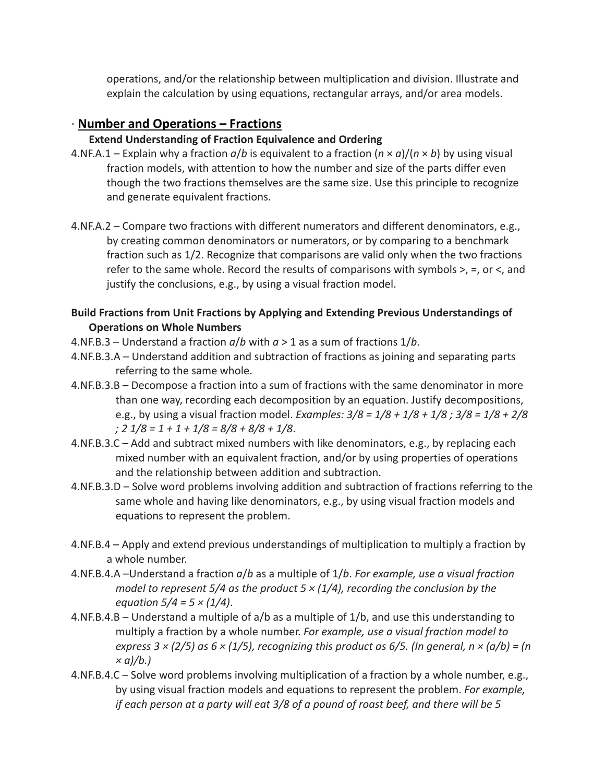operations, and/or the relationship between multiplication and division. Illustrate and explain the calculation by using equations, rectangular arrays, and/or area models.

# **∙ Number and Operations – Fractions**

### **Extend Understanding of Fraction Equivalence and Ordering**

- 4.NF.A.1 Explain why a fraction *a*/*b* is equivalent to a fraction (*n* × *a*)/(*n* × *b*) by using visual fraction models, with attention to how the number and size of the parts differ even though the two fractions themselves are the same size. Use this principle to recognize and generate equivalent fractions.
- 4.NF.A.2 Compare two fractions with different numerators and different denominators, e.g., by creating common denominators or numerators, or by comparing to a benchmark fraction such as 1/2. Recognize that comparisons are valid only when the two fractions refer to the same whole. Record the results of comparisons with symbols >, =, or <, and justify the conclusions, e.g., by using a visual fraction model.

## **Build Fractions from Unit Fractions by Applying and Extending Previous Understandings of Operations on Whole Numbers**

- 4.NF.B.3 Understand a fraction *a*/*b* with *a* > 1 as a sum of fractions 1/*b*.
- 4.NF.B.3.A Understand addition and subtraction of fractions as joining and separating parts referring to the same whole.
- 4.NF.B.3.B Decompose a fraction into a sum of fractions with the same denominator in more than one way, recording each decomposition by an equation. Justify decompositions, e.g., by using a visual fraction model. *Examples: 3/8 = 1/8 + 1/8 + 1/8 ; 3/8 = 1/8 + 2/8 ; 2 1/8 = 1 + 1 + 1/8 = 8/8 + 8/8 + 1/8*.
- 4.NF.B.3.C Add and subtract mixed numbers with like denominators, e.g., by replacing each mixed number with an equivalent fraction, and/or by using properties of operations and the relationship between addition and subtraction.
- 4.NF.B.3.D Solve word problems involving addition and subtraction of fractions referring to the same whole and having like denominators, e.g., by using visual fraction models and equations to represent the problem.
- 4.NF.B.4 Apply and extend previous understandings of multiplication to multiply a fraction by a whole number.
- 4.NF.B.4.A –Understand a fraction *a*/*b* as a multiple of 1/*b*. *For example, use a visual fraction model to represent 5/4 as the product 5 × (1/4), recording the conclusion by the equation 5/4 = 5 × (1/4)*.
- 4.NF.B.4.B Understand a multiple of a/b as a multiple of 1/b, and use this understanding to multiply a fraction by a whole number. *For example, use a visual fraction model to express 3 × (2/5) as 6 × (1/5), recognizing this product as 6/5. (In general, n × (a/b) = (n × a)/b.)*
- 4.NF.B.4.C Solve word problems involving multiplication of a fraction by a whole number, e.g., by using visual fraction models and equations to represent the problem. *For example, if each person at a party will eat 3/8 of a pound of roast beef, and there will be 5*